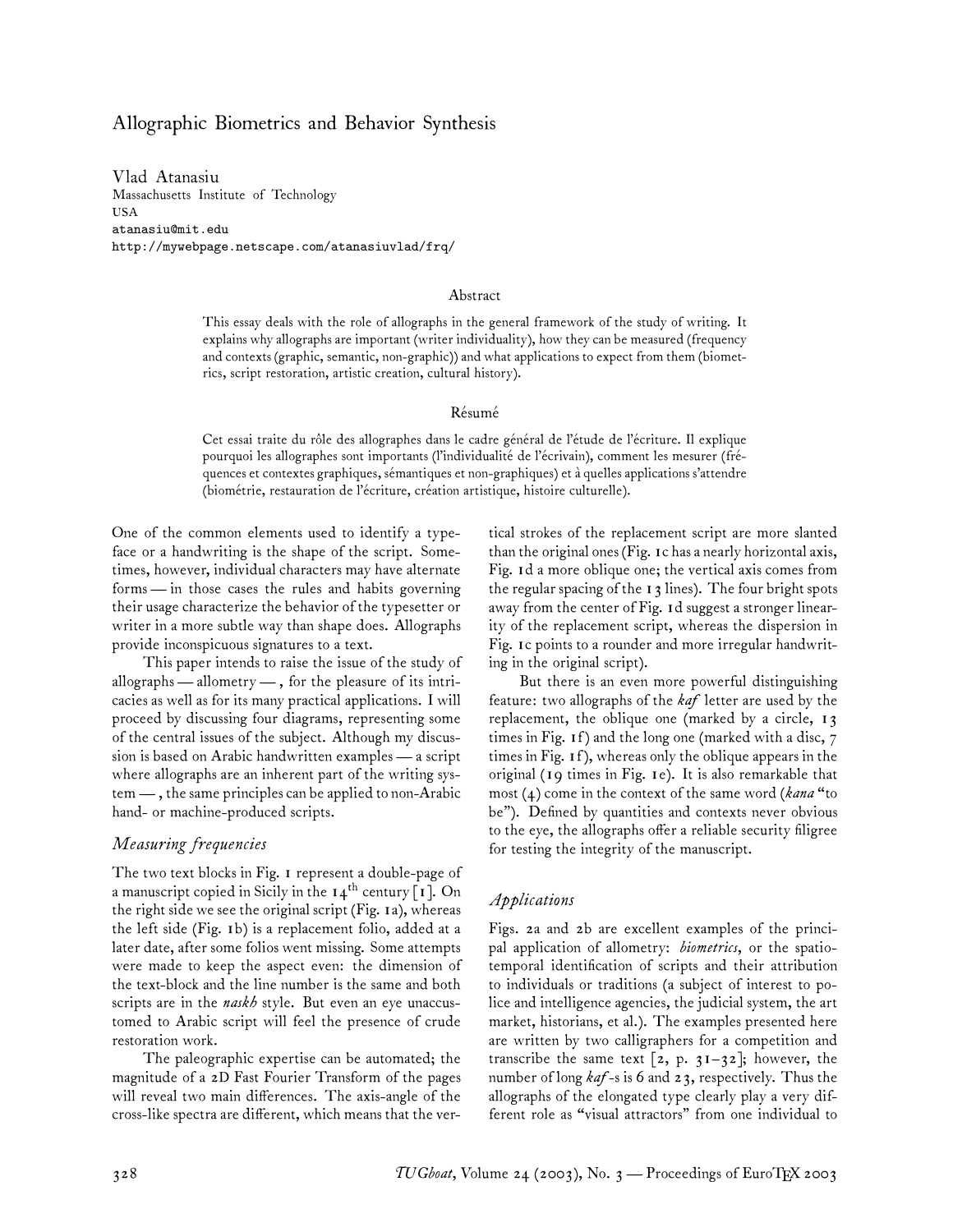# Allographic Biometrics and Behavior Synthesis

Vlad Atanasiu Massachusetts Institute of Technology USA atanasiu@mit.edu http://mywebpage.netscape.com/atanasiuvlad/frq/

#### Abstract

This essay deals with the role of allographs in the general framework of the study of writing. It explains why allographs are important (writer individuality), how they can be measured (frequency and contexts (graphic, semantic, non-graphic)) and what applications to expect from them (biometrics, script restoration, artistic creation, cultural history).

#### Résumé

Cet essai traite du rôle des allographes dans le cadre général de l'étude de l'écriture. Il explique pourquoi les allographes sont importants (l'individualité de l'écrivain), comment les mesurer (fréquences et contextes graphiques, sémantiques et non-graphiques) et à quelles applications s'attendre (biométrie, restauration de l'écriture, création artistique, histoire culturelle).

One of the common elements used to identify a typeface or a handwriting is the shape of the script. Sometimes, however, individual characters may have alternate forms — in those cases the rules and habits governing their usage characterize the behavior of the typesetter or writer in a more subtle way than shape does. Allographs provide inconspicuous signatures to a text.

This paper intends to raise the issue of the study of allographs— allometry — , for the pleasure of its intricacies as well as for its many practical applications. I will proceed by discussing four diagrams, representing some of the central issues of the subject. Although my discussion is based on Arabic handwritten examples — a script where allographs are an inherent part of the writing system — , the same principles can be applied to non-Arabic hand- or machine-produced scripts.

### *Measuring frequencies*

The two text blocks in Fig. 1 represent a double-page of a manuscript copied in Sicily in the  $14^{th}$  century [1]. On the right side we see the original script (Fig. 1a), whereas the left side (Fig. 1b) is a replacement folio, added at a later date, after some folios went missing. Some attempts were made to keep the aspect even: the dimension of the text-block and the line number is the same and both scripts are in the *naskh* style. But even an eye unaccustomed to Arabic script will feel the presence of crude restoration work.

The paleographic expertise can be automated; the magnitude of a 2D Fast Fourier Transform of the pages will reveal two main differences. The axis-angle of the cross-like spectra are different, which means that the vertical strokes of the replacement script are more slanted than the original ones (Fig. 1c has a nearly horizontal axis, Fig. 1d a more oblique one; the vertical axis comes from the regular spacing of the  $13$  lines). The four bright spots away from the center of Fig. 1d suggest a stronger linearity of the replacement script, whereas the dispersion in Fig. 1c points to a rounder and more irregular handwriting in the original script).

But there is an even more powerful distinguishing feature: two allographs of the *kaf* letter are used by the replacement, the oblique one (marked by a circle, 13 times in Fig. 1f ) and the long one (marked with a disc, 7 times in Fig. 1f ), whereas only the oblique appears in the original (19 times in Fig. 1e). It is also remarkable that most (4) come in the context of the same word (*kana* "to be"). Defined by quantities and contexts never obvious to the eye, the allographs offer a reliable security filigree for testing the integrity of the manuscript.

### *Applications*

Figs. 2a and 2b are excellent examples of the principal application of allometry: *biometrics*, or the spatiotemporal identification of scripts and their attribution to individuals or traditions (a subject of interest to police and intelligence agencies, the judicial system, the art market, historians, et al.). The examples presented here are written by two calligraphers for a competition and transcribe the same text  $[z, p. 31-32]$ ; however, the number of long *kaf*-s is 6 and 23, respectively. Thus the allographs of the elongated type clearly play a very different role as "visual attractors" from one individual to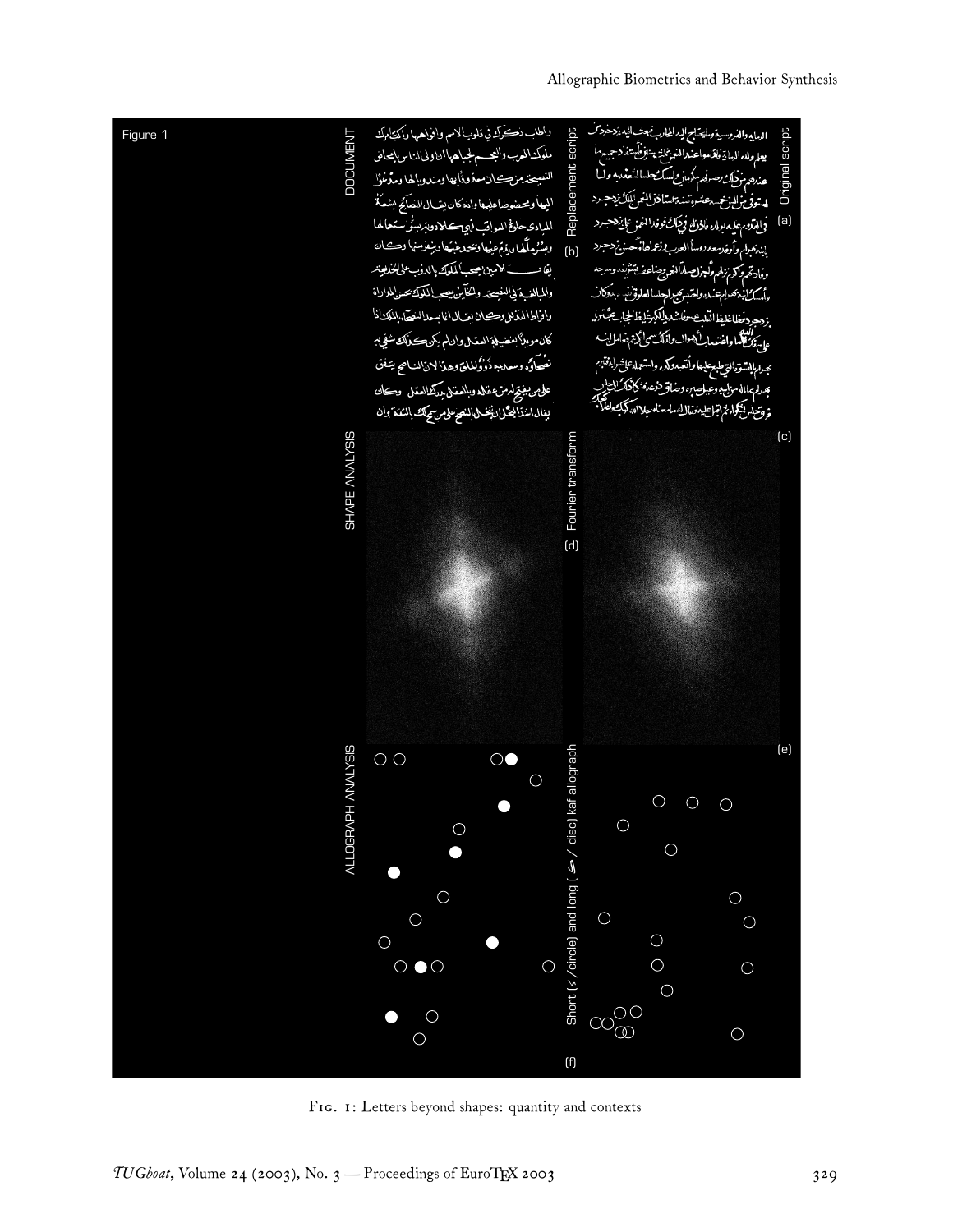

FIG. 1: Letters beyond shapes: quantity and contexts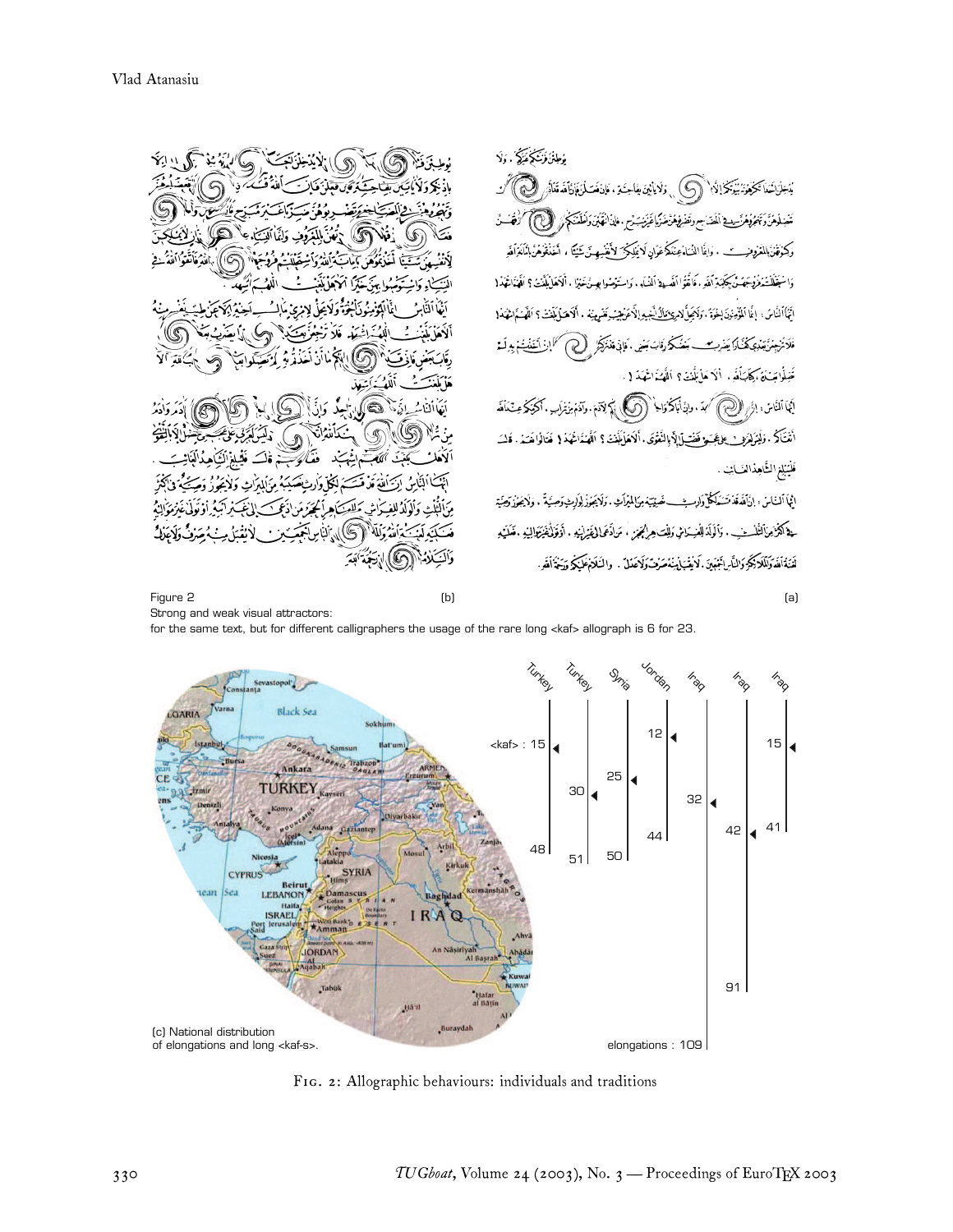مُطِنْزَ وَيَتَكُلُّفَذَكَ ، إِلَا َيُدَخِلْ َشَعَاَ تَكْمَخُونَهُ بَيْتِكُمْ إِلَيْهِ ۚ ۚ (۞ ) , وَلَا يَا بَيْنَ بِفَاحِشَةِ ، فَإِنْ فَعَسَلَنَ فَإِنَّ آَهَدَةَمَاأَرْ ر كن تَسْتِلُومُنَّ وَتَجْرُوْمُ رَّسِيطَ اَلْمَدَ سِمَ وَتَصْرِفِهِمْنَ ضَرَّبًا غَيْرَبَتْ مِنَ مِاذَا فَهَيْنَ وَاَطْفَنَكُمْ ﴾ [لالله]) وَكِرَقْنَ الْفَرْوِنِــــْبِ ، وَإِغَا النَّاءُ عِنْدَكُمْ عَوَانِ لَا يَلِيكُمْ ۖ لأَقْنَسِمِينَ شَيْئًا ، أَخَذْقُوهُنَّ الْمَاقَرَأَقَدِ وَاسْتَغَلَّلْتَذُرُّدُكِيمَةً، كَقَدْ ، فَاقْفُوا أَنْفِسَاهُ أَلنُسَاهِ ، وَاسْتَغِضُوا بِسِنْ خَيْزًا ، أَلاَهَا بِلَغْتُ؟ أَقَيْدَاظُهُدُ ( مَأْهَبَ مَنْهُ مِنْهُ ، أَلَاهَيَا مَلَنْتُ؟ اَلَلْمَيَةَا تَعَادُ! اتَهُاَ ٱلنَّاسُ: إِغَا ٱلمُؤْمِنُونَ إِخْوَةَ . وَلَائِمِلَّ لِامْرِئِ نَطَالُ لَيْجِ فَلَا تَرْجِعُنَّ يَعْدِي كُلُّكَ إِكْسَرِد وأبة َبَعۡنَکُمۡ رَّقَابَ R. -5 صَّلُوا بَسَنَةَ ، كِتَابَأَتَهِ ، أَلَا مَا يَلَنتَ ؟ اَلْقَصَاتُ انجا ألفّائ ، إذا الألفتين تنأته لأديقوه وآذم منترك لَهُمَدَ، وَإِذَا بَاكُمْ وَالْحِ Q G أَمْتَكُمُ . وَلَيْرَلِمَرْمِث فِلرَّجَبَ وَفَضْ لِإِذْ بِالنَّعْرَى . أَلاَهَا بَنْنَتُ ؟ اَلْهَمْذَاعُهَذ { فَتَالُوا هَدَ N فَلَيَبْلِغِ الشَّاهِذَالْعَــَانِتَ . ائِجاً ٱلنَّاسْ: إنَّاتَعَةَ تَسَكَّلُكُمْ وَارِسِيْــــ نَصيْبَتِهُ مِنَالِمُواَتِ . وَلَايَجُوزُ لِوَسِيَوتم G حة ٱلْأَمِرَالْتَلْسِتْ. وَٱلْوَلَدَالِفِسَاسٌ وَلِلْتَ هِرِلِهُمَمَنِ ، مَن\دَعَمالىفَيْرِلْهُمِهِ . أوَقَوْلُهَنْزَكوالِيْهِ . فَعَلَيْهِ Жī أآلمه فندَأته لَفَنَةَأَلَفَةَ وَلَلَا يَكُرُّ وَالنَّارِ أَجْهَيْنَ. لَا يُقْبَلُ يُنْصَرُفْ وَلَاعَدْلَ . والنَّلَامُ عَلَيْكُم وَيَخْذَأَلَفَهِ (b)

(a)

Figure 2 Strong and weak visual attractors:

for the same text, but for different calligraphers the usage of the rare long <kaf> allograph is 6 for 23.



FIG. 2: Allographic behaviours: individuals and traditions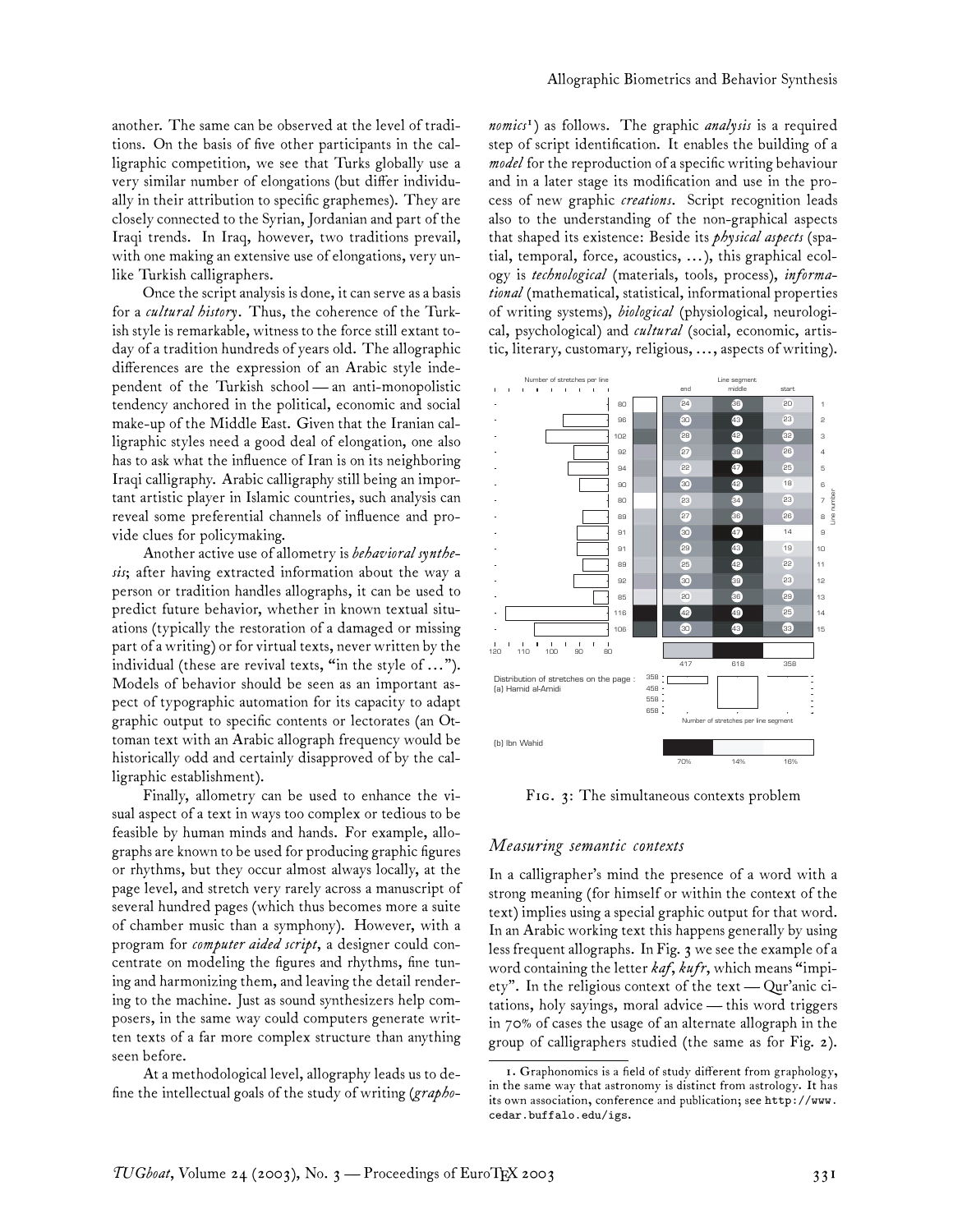another. The same can be observed at the level of traditions. On the basis of five other participants in the calligraphic competition, we see that Turks globally use a very similar number of elongations (but differ individually in their attribution to specific graphemes). They are closely connected to the Syrian, Jordanian and part of the Iraqi trends. In Iraq, however, two traditions prevail, with one making an extensive use of elongations, very unlike Turkish calligraphers.

Once the script analysis is done, it can serve as a basis for a *cultural history*. Thus, the coherence of the Turkish style is remarkable, witness to the force still extant today of a tradition hundreds of years old. The allographic differences are the expression of an Arabic style independent of the Turkish school— an anti-monopolistic tendency anchored in the political, economic and social make-up of the Middle East. Given that the Iranian calligraphic styles need a good deal of elongation, one also has to ask what the influence of Iran is on its neighboring Iraqi calligraphy. Arabic calligraphy still being an important artistic player in Islamic countries, such analysis can reveal some preferential channels of influence and provide clues for policymaking.

Another active use of allometry is*behavioral synthesis*; after having extracted information about the way a person or tradition handles allographs, it can be used to predict future behavior, whether in known textual situations (typically the restoration of a damaged or missing part of a writing) or for virtual texts, never written by the individual (these are revival texts, "in the style of ..."). Models of behavior should be seen as an important aspect of typographic automation for its capacity to adapt graphic output to specific contents or lectorates (an Ottoman text with an Arabic allograph frequency would be historically odd and certainly disapproved of by the calligraphic establishment).

Finally, allometry can be used to enhance the visual aspect of a text in ways too complex or tedious to be feasible by human minds and hands. For example, allographs are known to be used for producing graphic figures or rhythms, but they occur almost always locally, at the page level, and stretch very rarely across a manuscript of several hundred pages (which thus becomes more a suite of chamber music than a symphony). However, with a program for *computer aided script*, a designer could concentrate on modeling the figures and rhythms, fine tuning and harmonizing them, and leaving the detail rendering to the machine. Just as sound synthesizers help composers, in the same way could computers generate written texts of a far more complex structure than anything seen before.

At a methodological level, allography leads us to define the intellectual goals of the study of writing (*grapho-*

*nomics*<sup>1</sup> ) as follows. The graphic *analysis* is a required step of script identification. It enables the building of a *model* for the reproduction of a specific writing behaviour and in a later stage its modification and use in the process of new graphic *creations*. Script recognition leads also to the understanding of the non-graphical aspects that shaped its existence: Beside its *physical aspects* (spatial, temporal, force, acoustics, ... ), this graphical ecology is *technological* (materials, tools, process), *informational* (mathematical, statistical, informational properties of writing systems), *biological* (physiological, neurological, psychological) and *cultural* (social, economic, artistic, literary, customary, religious, ..., aspects of writing).



FIG. 3: The simultaneous contexts problem

### *Measuring semantic contexts*

In a calligrapher's mind the presence of a word with a strong meaning (for himself or within the context of the text) implies using a special graphic output for that word. In an Arabic working text this happens generally by using less frequent allographs. In Fig. 3 we see the example of a word containing the letter *kaf*, *kufr*, which means "impiety". In the religious context of the text — Qur'anic citations, holy sayings, moral advice— this word triggers in 70% of cases the usage of an alternate allograph in the group of calligraphers studied (the same as for Fig. 2).

<sup>1.</sup> Graphonomics is a field of study different from graphology, in the same way that astronomy is distinct from astrology. It has its own association, conference and publication; see http://www. cedar.buffalo.edu/igs.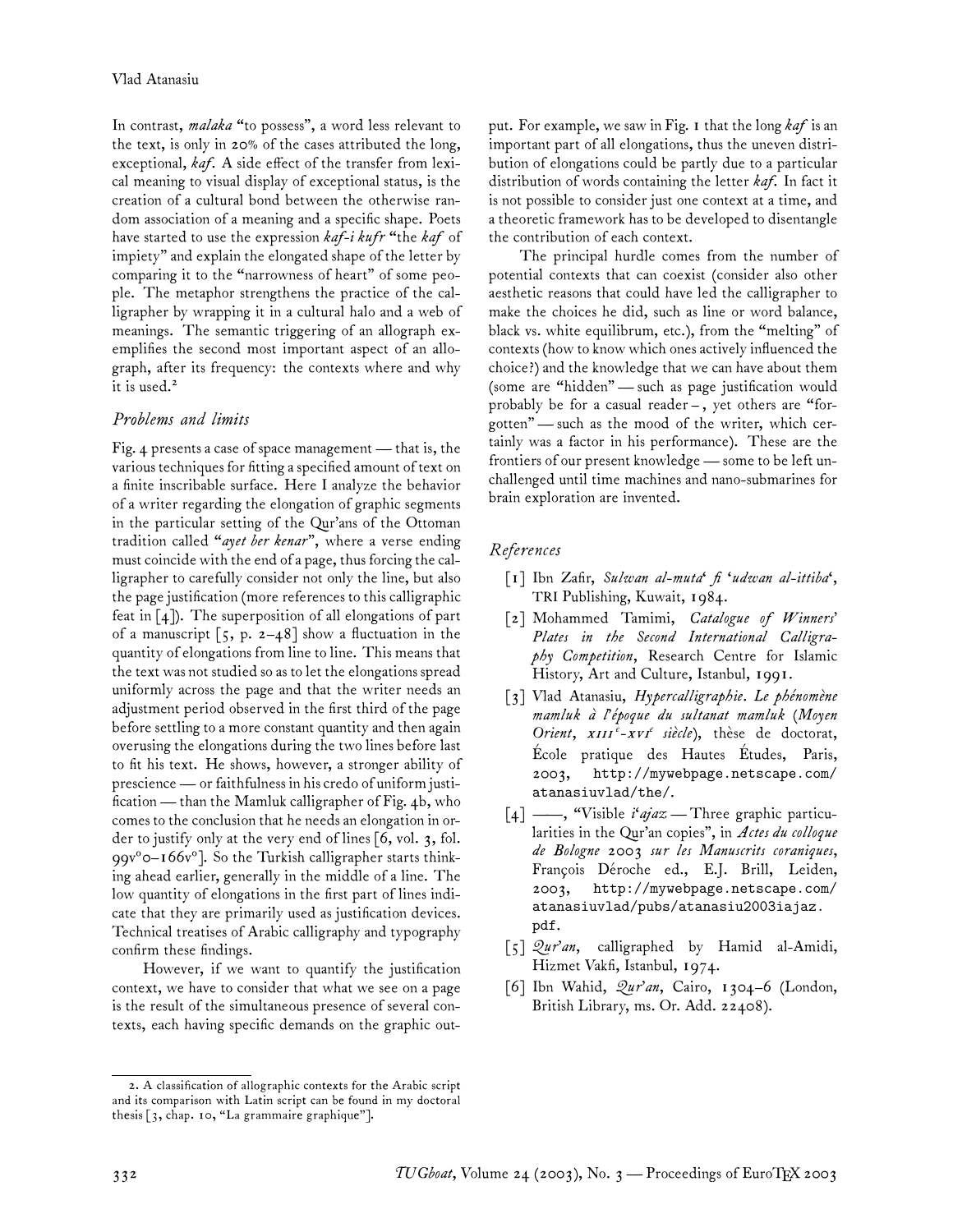In contrast, *malaka* "to possess", a word less relevant to the text, is only in 20% of the cases attributed the long, exceptional, *kaf*. A side effect of the transfer from lexical meaning to visual display of exceptional status, is the creation of a cultural bond between the otherwise random association of a meaning and a specific shape. Poets have started to use the expression *kaf-i kufr* "the *kaf* of impiety" and explain the elongated shape of the letter by comparing it to the "narrowness of heart" of some people. The metaphor strengthens the practice of the calligrapher by wrapping it in a cultural halo and a web of meanings. The semantic triggering of an allograph exemplifies the second most important aspect of an allograph, after its frequency: the contexts where and why it is used.<sup>2</sup>

## *Problems and limits*

Fig. 4 presents a case of space management — that is, the various techniques for fitting a specified amount of text on a finite inscribable surface. Here I analyze the behavior of a writer regarding the elongation of graphic segments in the particular setting of the Qur'ans of the Ottoman tradition called "*ayet ber kenar*", where a verse ending must coincide with the end of a page, thus forcing the calligrapher to carefully consider not only the line, but also the page justification (more references to this calligraphic feat in [4]). The superposition of all elongations of part of a manuscript  $\lceil 5, p. 2-48 \rceil$  show a fluctuation in the quantity of elongations from line to line. This means that the text was not studied so as to let the elongations spread uniformly across the page and that the writer needs an adjustment period observed in the first third of the page before settling to a more constant quantity and then again overusing the elongations during the two lines before last to fit his text. He shows, however, a stronger ability of prescience— or faithfulness in his credo of uniform justification — than the Mamluk calligrapher of Fig. 4b, who comes to the conclusion that he needs an elongation in order to justify only at the very end of lines [6, vol. 3, fol. 99v°0-166v°]. So the Turkish calligrapher starts thinking ahead earlier, generally in the middle of a line. The low quantity of elongations in the first part of lines indicate that they are primarily used as justification devices. Technical treatises of Arabic calligraphy and typography confirm these findings.

However, if we want to quantify the justification context, we have to consider that what we see on a page is the result of the simultaneous presence of several contexts, each having specific demands on the graphic output. For example, we saw in Fig. 1 that the long *kaf* is an important part of all elongations, thus the uneven distribution of elongations could be partly due to a particular distribution of words containing the letter *kaf*. In fact it is not possible to consider just one context at a time, and a theoretic framework has to be developed to disentangle the contribution of each context.

The principal hurdle comes from the number of potential contexts that can coexist (consider also other aesthetic reasons that could have led the calligrapher to make the choices he did, such as line or word balance, black vs. white equilibrum, etc.), from the "melting" of contexts (how to know which ones actively influenced the choice?) and the knowledge that we can have about them (some are "hidden"— such as page justification would probably be for a casual reader – , yet others are "forgotten"— such as the mood of the writer, which certainly was a factor in his performance). These are the frontiers of our present knowledge— some to be left unchallenged until time machines and nano-submarines for brain exploration are invented.

## *References*

- [1] Ibn Zafir, *Sulwan al-muta' fi 'udwan al-ittiba'*, TRI Publishing, Kuwait, 1984.
- [2] Mohammed Tamimi, *Catalogue of Winners' Plates in the Second International Calligraphy Competition*, Research Centre for Islamic History, Art and Culture, Istanbul, 1991.
- [3] Vlad Atanasiu, *Hypercalligraphie. Le phénomène mamluk à l'époque du sultanat mamluk* (*Moyen* Orient, x111<sup>e</sup>-xv1<sup>e</sup> siècle), thèse de doctorat, École pratique des Hautes Études, Paris, 2003, http://mywebpage.netscape.com/ atanasiuvlad/the/.
- [4] ——, "Visible *i'ajaz* Three graphic particularities in the Qur'an copies", in *Actes du colloque de Bologne 2003 sur les Manuscrits coraniques*, François Déroche ed., E.J. Brill, Leiden, 2003, http://mywebpage.netscape.com/ atanasiuvlad/pubs/atanasiu2003iajaz. pdf.
- [5] *Qur'an*, calligraphed by Hamid al-Amidi, Hizmet Vakfi, Istanbul, 1974.
- [6] Ibn Wahid, *Qur'an*, Cairo, 1304–6 (London, British Library, ms. Or. Add. 22408).

<sup>2.</sup> A classification of allographic contexts for the Arabic script and its comparison with Latin script can be found in my doctoral thesis [3, chap. 10, "La grammaire graphique"].